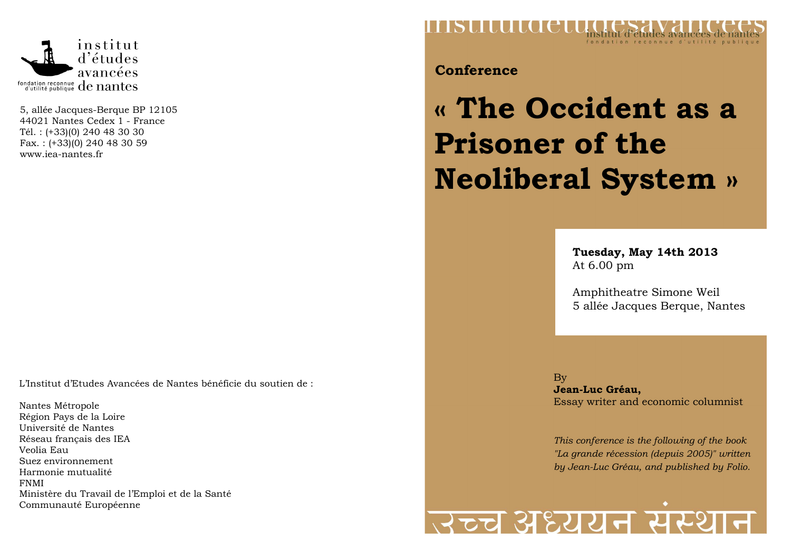

5, allée Jacques-Berque BP 12105 44021 Nantes Cedex 1 - France Tél. : (+33)(0) 240 48 30 30 Fax. : (+33)(0) 240 48 30 59 www.iea-nantes.fr

L'Institut d'Etudes Avancées de Nantes bénéficie du soutien de :

Nantes Métropole Région Pays de la Loire Université de Nantes Réseau français des IEA Veolia Eau Suez environnement Harmonie mutualité FNMI Ministère du Travail de l'Emploi et de la Santé Communauté Européenne



**Conference** 

# **« The Occident as a Prisoner of the Neoliberal System »**

**Tuesday, May 14th 2013** At 6.00 pm

Amphitheatre Simone Weil 5 allée Jacques Berque, Nantes

By **Jean-Luc Gréau,** Essay writer and economic columnist

*This conference is the following of the book "La grande récession (depuis 2005)" written by Jean-Luc Gréau, and published by Folio.*